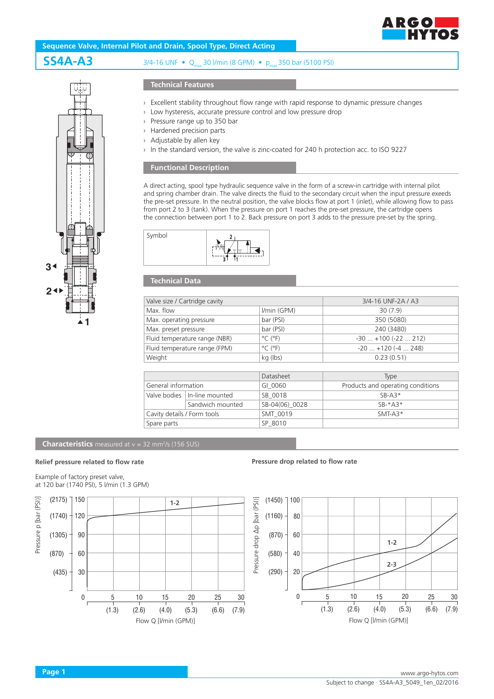



# **SS4A-A3** 3/4-16 UNF • Q<sub>max</sub> 30 l/min (8 GPM) • p<sub>max</sub> 350 bar (5100 PSI)

# **Technical Features**

- › Excellent stability throughout flow range with rapid response to dynamic pressure changes
- › Low hysteresis, accurate pressure control and low pressure drop
- › Pressure range up to 350 bar
- › Hardened precision parts
- › Adjustable by allen key
- In the standard version, the valve is zinc-coated for 240 h protection acc. to ISO 9227

# **Functional Description**

A direct acting, spool type hydraulic sequence valve in the form of a screw-in cartridge with internal pilot and spring chamber drain. The valve directs the fluid to the secondary circuit when the input pressure exeeds the pre-set pressure. In the neutral position, the valve blocks flow at port 1 (inlet), while allowing flow to pass from port 2 to 3 (tank). When the pressure on port 1 reaches the pre-set pressure, the cartridge opens the connection between port 1 to 2. Back pressure on port 3 adds to the pressure pre-set by the spring.



# **Technical Data**

Symbol

| Valve size / Cartridge cavity |                              | 3/4-16 UNF-2A / A3       |
|-------------------------------|------------------------------|--------------------------|
| Max. flow                     | I/min (GPM)                  | 30(7.9)                  |
| Max. operating pressure       | bar (PSI)                    | 350 (5080)               |
| Max. preset pressure          | bar (PSI)                    | 240 (3480)               |
| Fluid temperature range (NBR) | $^{\circ}$ C ( $^{\circ}$ F) | $-30+100(-22212)$        |
| Fluid temperature range (FPM) | $^{\circ}$ C ( $^{\circ}$ F) | $-20$ $+120$ ( $-4$ 248) |
| Weight                        | kg (lbs)                     | 0.23(0.51)               |

|                             |                                | Datasheet      | <b>Type</b>                       |
|-----------------------------|--------------------------------|----------------|-----------------------------------|
| General information         |                                | GI 0060        | Products and operating conditions |
|                             | Valve bodies   In-line mounted | SB 0018        | $SB-AS*$                          |
|                             | Sandwich mounted               | SB-04(06) 0028 | $SR-*A3*$                         |
| Cavity details / Form tools |                                | SMT 0019       | $SMT-43*$                         |
| Spare parts                 |                                | SP 8010        |                                   |

#### **Characteristics** measured at v = 32 mm<sup>2</sup>/s (156 SUS)

### **Relief pressure related to flow rate**

### Example of factory preset valve, at 120 bar (1740 PSI), 5 l/min (1.3 GPM)



# **Pressure drop related to flow rate**